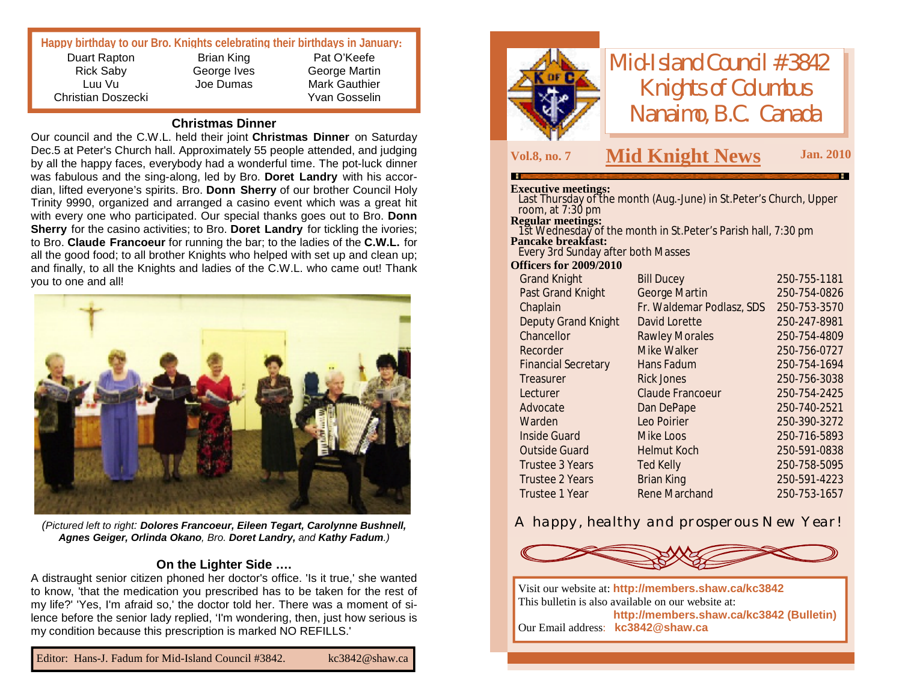# **Happy birthday to our Bro. Knights celebrating their birthdays in January:**

Duart Rapton Rick Saby Luu Vu Christian Doszecki

Brian King George Ives Joe Dumas

Pat O'Keefe George Martin Mark Gauthier Yvan Gosselin

#### **Christmas Dinner**

Our council and the C.W.L. held their joint **Christmas Dinner** on Saturday Dec.5 at Peter's Church hall. Approximately 55 people attended, and judging by all the happy faces, everybody had a wonderful time. The pot-luck dinner was fabulous and the sing-along, led by Bro. **Doret Landry** with his accordian, lifted everyone's spirits. Bro. **Donn Sherry** of our brother Council Holy Trinity 9990, organized and arranged a casino event which was a great hit with every one who participated. Our special thanks goes out to Bro. **Donn Sherry** for the casino activities; to Bro. **Doret Landry** for tickling the ivories; to Bro. **Claude Francoeur** for running the bar; to the ladies of the **C.W.L.** for all the good food; to all brother Knights who helped with set up and clean up; and finally, to all the Knights and ladies of the C.W.L. who came out! Thank you to one and all!



*(Pictured left to right: Dolores Francoeur, Eileen Tegart, Carolynne Bushnell, Agnes Geiger, Orlinda Okano, Bro. Doret Landry, and Kathy Fadum.)*

### **On the Lighter Side ….**

A distraught senior citizen phoned her doctor's office. 'Is it true,' she wanted to know, 'that the medication you prescribed has to be taken for the rest of my life?' 'Yes, I'm afraid so,' the doctor told her. There was a moment of silence before the senior lady replied, 'I'm wondering, then, just how serious is my condition because this prescription is marked NO REFILLS.'



*Mid-Island Council #3842 Knights of Columbus Nanaimo, B.C. Canada*

# **Vol.8, no. <sup>7</sup> M Jan. <sup>2010</sup> id Knight News**

#### **Executive meetings:**

Last Thursday of the month (Aug.-June) in St.Peter's Church, Upper room, at 7:30 pm

#### **Regular meetings:**

1st Wednesday of the month in St.Peter's Parish hall, 7:30 pm **Pancake breakfast:** Every 3rd Sunday after both Masses

#### **Officers for 2009/2010**

| <b>Grand Knight</b>        | <b>Bill Ducey</b>         | 250-755-1181 |
|----------------------------|---------------------------|--------------|
| Past Grand Knight          | George Martin             | 250-754-0826 |
| Chaplain                   | Fr. Waldemar Podlasz, SDS | 250-753-3570 |
| <b>Deputy Grand Knight</b> | David Lorette             | 250-247-8981 |
| Chancellor                 | <b>Rawley Morales</b>     | 250-754-4809 |
| Recorder                   | Mike Walker               | 250-756-0727 |
| <b>Financial Secretary</b> | Hans Fadum                | 250-754-1694 |
| Treasurer                  | <b>Rick Jones</b>         | 250-756-3038 |
| Lecturer                   | Claude Francoeur          | 250-754-2425 |
| Advocate                   | Dan DePape                | 250-740-2521 |
| Warden                     | Leo Poirier               | 250-390-3272 |
| <b>Inside Guard</b>        | Mike Loos                 | 250-716-5893 |
| <b>Outside Guard</b>       | <b>Helmut Koch</b>        | 250-591-0838 |
| Trustee 3 Years            | <b>Ted Kelly</b>          | 250-758-5095 |
| <b>Trustee 2 Years</b>     | <b>Brian King</b>         | 250-591-4223 |
| Trustee 1 Year             | <b>Rene Marchand</b>      | 250-753-1657 |
|                            |                           |              |

## *A happy, healthy and prosperous New Year!*



Visit our website at: **<http://members.shaw.ca/kc3842>** This bulletin is also available on our website at: **<http://members.shaw.ca/kc3842> (Bulletin)** Our Email address: **[kc3842@shaw.ca](mailto:kc3842@shaw.ca)**